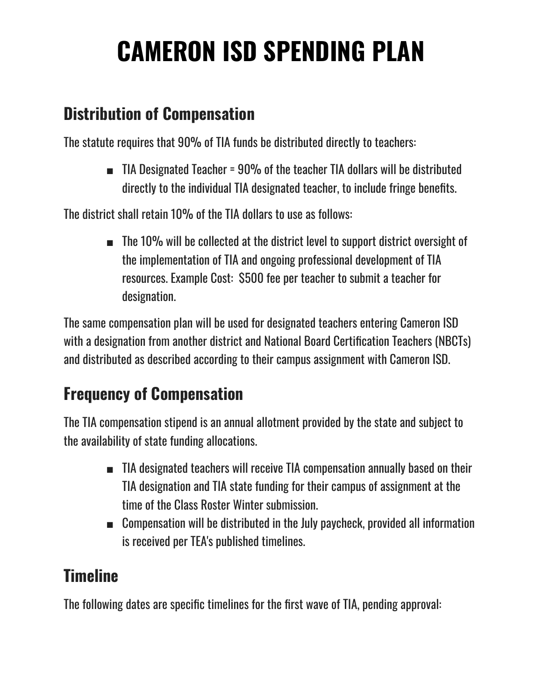# **CAMERON ISD SPENDING PLAN**

#### **Distribution of Compensation**

The statute requires that 90% of TIA funds be distributed directly to teachers:

■ TIA Designated Teacher = 90% of the teacher TIA dollars will be distributed directly to the individual TIA designated teacher, to include fringe benefits.

The district shall retain 10% of the TIA dollars to use as follows:

■ The 10% will be collected at the district level to support district oversight of the implementation of TIA and ongoing professional development of TIA resources. Example Cost: \$500 fee per teacher to submit a teacher for designation.

The same compensation plan will be used for designated teachers entering Cameron ISD with a designation from another district and National Board Certification Teachers (NBCTs) and distributed as described according to their campus assignment with Cameron ISD.

## **Frequency of Compensation**

The TIA compensation stipend is an annual allotment provided by the state and subject to the availability of state funding allocations.

- TIA designated teachers will receive TIA compensation annually based on their TIA designation and TIA state funding for their campus of assignment at the time of the Class Roster Winter submission.
- Compensation will be distributed in the July paycheck, provided all information is received per TEA's published timelines.

### **Timeline**

The following dates are specific timelines for the first wave of TIA, pending approval: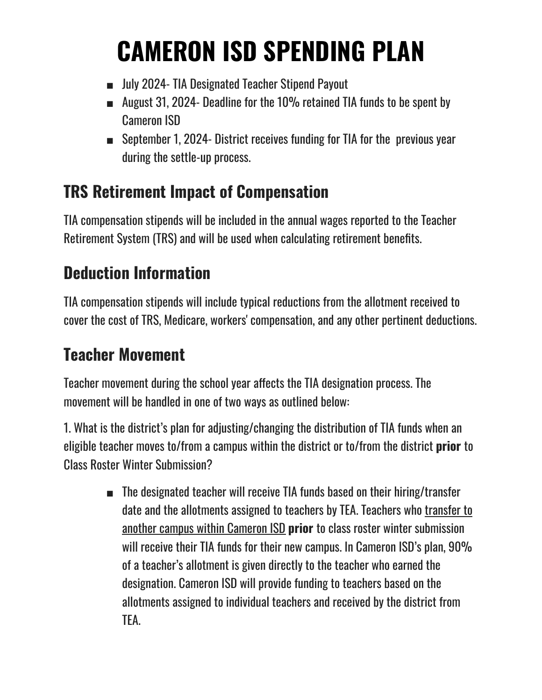# **CAMERON ISD SPENDING PLAN**

- July 2024- TIA Designated Teacher Stipend Payout
- August 31, 2024- Deadline for the 10% retained TIA funds to be spent by Cameron ISD
- September 1, 2024- District receives funding for TIA for the previous year during the settle-up process.

### **TRS Retirement Impact of Compensation**

TIA compensation stipends will be included in the annual wages reported to the Teacher Retirement System (TRS) and will be used when calculating retirement benefits.

## **Deduction Information**

TIA compensation stipends will include typical reductions from the allotment received to cover the cost of TRS, Medicare, workers' compensation, and any other pertinent deductions.

### **Teacher Movement**

Teacher movement during the school year affects the TIA designation process. The movement will be handled in one of two ways as outlined below:

1. What is the district's plan for adjusting/changing the distribution of TIA funds when an eligible teacher moves to/from a campus within the district or to/from the district **prior** to Class Roster Winter Submission?

> ■ The designated teacher will receive TIA funds based on their hiring/transfer date and the allotments assigned to teachers by TEA. Teachers who transfer to another campus within Cameron ISD **prior** to class roster winter submission will receive their TIA funds for their new campus. In Cameron ISD's plan, 90% of a teacher's allotment is given directly to the teacher who earned the designation. Cameron ISD will provide funding to teachers based on the allotments assigned to individual teachers and received by the district from TEA.